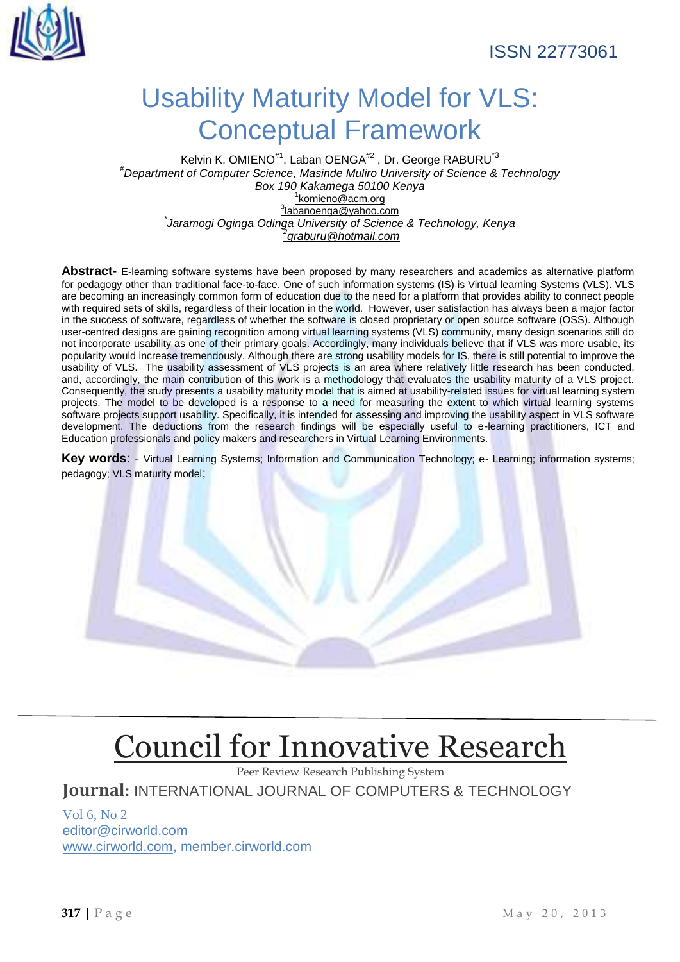## Usability Maturity Model for VLS: Conceptual Framework

Kelvin K. OMIENO<sup>#1</sup>, Laban OENGA<sup>#2</sup>, Dr. George RABURU<sup>\*3</sup> *#Department of Computer Science, Masinde Muliro University of Science & Technology Box 190 Kakamega 50100 Kenya* 1 [komieno@acm.org](mailto:1komieno@acm.org) 3 [labanoenga@yahoo.com](mailto:3labanoenga@yahoo.com) *\* Jaramogi Oginga Odinga University of Science & Technology, Kenya 2 [graburu@hotmail.com](mailto:2graburu@hotmail.com)*

**Abstract**- E-learning software systems have been proposed by many researchers and academics as alternative platform for pedagogy other than traditional face-to-face. One of such information systems (IS) is Virtual learning Systems (VLS). VLS are becoming an increasingly common form of education due to the need for a platform that provides ability to connect people with required sets of skills, regardless of their location in the world. However, user satisfaction has always been a major factor in the success of software, regardless of whether the software is closed proprietary or open source software (OSS). Although user-centred designs are gaining recognition among virtual learning systems (VLS) community, many design scenarios still do not incorporate usability as one of their primary goals. Accordingly, many individuals believe that if VLS was more usable, its popularity would increase tremendously. Although there are strong usability models for IS, there is still potential to improve the usability of VLS. The usability assessment of VLS projects is an area where relatively little research has been conducted, and, accordingly, the main contribution of this work is a methodology that evaluates the usability maturity of a VLS project. Consequently, the study presents a usability maturity model that is aimed at usability-related issues for virtual learning system projects. The model to be developed is a response to a need for measuring the extent to which virtual learning systems software projects support usability. Specifically, it is intended for assessing and improving the usability aspect in VLS software development. The deductions from the research findings will be especially useful to e-learning practitioners, ICT and Education professionals and policy makers and researchers in Virtual Learning Environments.

**Key words**: - Virtual Learning Systems; Information and Communication Technology; e- Learning; information systems; pedagogy; VLS maturity model;

# [Council for Innovative Research](http://member.cirworld.com/)

Peer Review Research Publishing System

**Journal:** INTERNATIONAL JOURNAL OF COMPUTERS & TECHNOLOGY

Vol 6, No 2 editor@cirworld.com [www.cirworld.com, me](http://www.cirworld.com/)mber.cirworld.com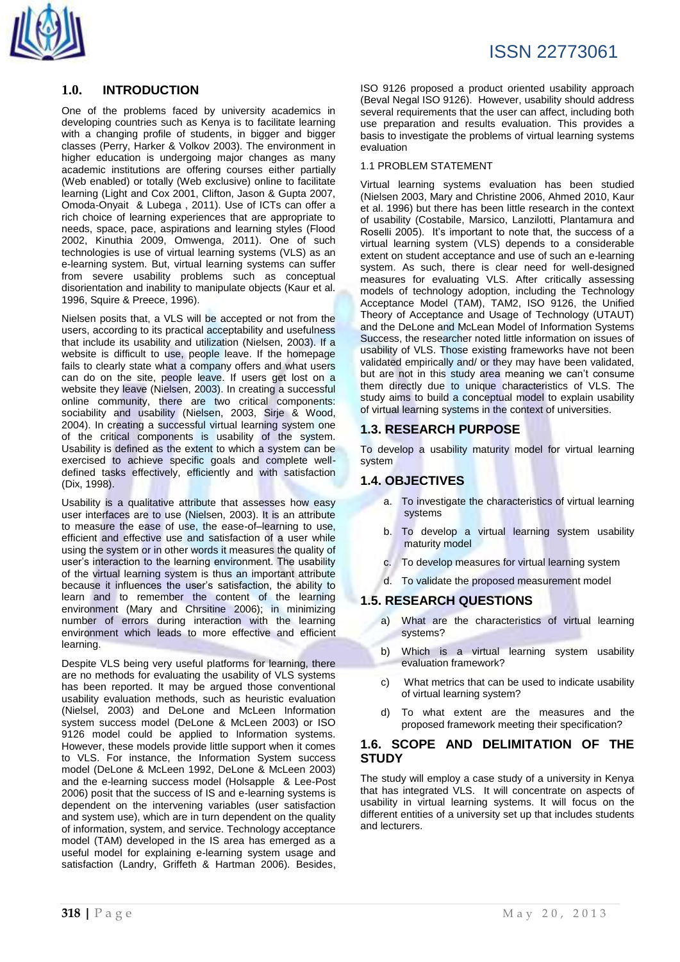## **1.0. INTRODUCTION**

One of the problems faced by university academics in developing countries such as Kenya is to facilitate learning with a changing profile of students, in bigger and bigger classes (Perry, Harker & Volkov 2003). The environment in higher education is undergoing major changes as many academic institutions are offering courses either partially (Web enabled) or totally (Web exclusive) online to facilitate learning (Light and Cox 2001, Clifton, Jason & Gupta 2007, [Omoda-Onyait](http://springerlink3.metapress.com/content/?Author=Godfrey+Omoda-Onyait) & Lubega , 2011). Use of ICTs can offer a rich choice of learning experiences that are appropriate to needs, space, pace, aspirations and learning styles (Flood 2002, Kinuthia 2009, Omwenga, 2011). One of such technologies is use of virtual learning systems (VLS) as an e-learning system. But, virtual learning systems can suffer from severe usability problems such as conceptual disorientation and inability to manipulate objects (Kaur et al. 1996, Squire & Preece, 1996).

Nielsen posits that, a VLS will be accepted or not from the users, according to its practical acceptability and usefulness that include its usability and utilization (Nielsen, 2003). If a website is difficult to use, people leave. If the homepage fails to clearly state what a company offers and what users can do on the site, people leave. If users get lost on a website they leave (Nielsen, 2003). In creating a successful online community, there are two critical components: sociability and usability (Nielsen, 2003, Sirje & Wood, 2004). In creating a successful virtual learning system one of the critical components is usability of the system. Usability is defined as the extent to which a system can be exercised to achieve specific goals and complete welldefined tasks effectively, efficiently and with satisfaction (Dix, 1998).

Usability is a qualitative attribute that assesses how easy user interfaces are to use (Nielsen, 2003). It is an attribute to measure the ease of use, the ease-of–learning to use, efficient and effective use and satisfaction of a user while using the system or in other words it measures the quality of user's interaction to the learning environment. The usability of the virtual learning system is thus an important attribute because it influences the user's satisfaction, the ability to learn and to remember the content of the learning environment (Mary and Chrsitine 2006); in minimizing number of errors during interaction with the learning environment which leads to more effective and efficient learning.

Despite VLS being very useful platforms for learning, there are no methods for evaluating the usability of VLS systems has been reported. It may be argued those conventional usability evaluation methods, such as heuristic evaluation (Nielsel, 2003) and DeLone and McLeen Information system success model (DeLone & McLeen 2003) or ISO 9126 model could be applied to Information systems. However, these models provide little support when it comes to VLS. For instance, the Information System success model (DeLone & McLeen 1992, DeLone & McLeen 2003) and the e-learning success model (Holsapple & Lee-Post 2006) posit that the success of IS and e-learning systems is dependent on the intervening variables (user satisfaction and system use), which are in turn dependent on the quality of information, system, and service. Technology acceptance model (TAM) developed in the IS area has emerged as a useful model for explaining e-learning system usage and satisfaction (Landry, Griffeth & Hartman 2006). Besides,

ISO 9126 proposed a product oriented usability approach (Beval Negal ISO 9126). However, usability should address several requirements that the user can affect, including both use preparation and results evaluation. This provides a basis to investigate the problems of virtual learning systems evaluation

#### 1.1 PROBLEM STATEMENT

Virtual learning systems evaluation has been studied (Nielsen 2003, Mary and Christine 2006, Ahmed 2010, Kaur et al. 1996) but there has been little research in the context of usability (Costabile, Marsico, Lanzilotti, Plantamura and Roselli 2005). It's important to note that, the success of a virtual learning system (VLS) depends to a considerable extent on student acceptance and use of such an e-learning system. As such, there is clear need for well-designed measures for evaluating VLS. After critically assessing models of technology adoption, including the Technology Acceptance Model (TAM), TAM2, ISO 9126, the Unified Theory of Acceptance and Usage of Technology (UTAUT) and the DeLone and McLean Model of Information Systems Success, the researcher noted little information on issues of usability of VLS. Those existing frameworks have not been validated empirically and/ or they may have been validated, but are not in this study area meaning we can't consume them directly due to unique characteristics of VLS. The study aims to build a conceptual model to explain usability of virtual learning systems in the context of universities.

## **1.3. RESEARCH PURPOSE**

To develop a usability maturity model for virtual learning system

### **1.4. OBJECTIVES**

- a. To investigate the characteristics of virtual learning systems
- b. To develop a virtual learning system usability maturity model
- c. To develop measures for virtual learning system
- d. To validate the proposed measurement model

### **1.5. RESEARCH QUESTIONS**

- a) What are the characteristics of virtual learning systems?
- b) Which is a virtual learning system usability evaluation framework?
- c) What metrics that can be used to indicate usability of virtual learning system?
- d) To what extent are the measures and the proposed framework meeting their specification?

## **1.6. SCOPE AND DELIMITATION OF THE STUDY**

The study will employ a case study of a university in Kenya that has integrated VLS. It will concentrate on aspects of usability in virtual learning systems. It will focus on the different entities of a university set up that includes students and lecturers.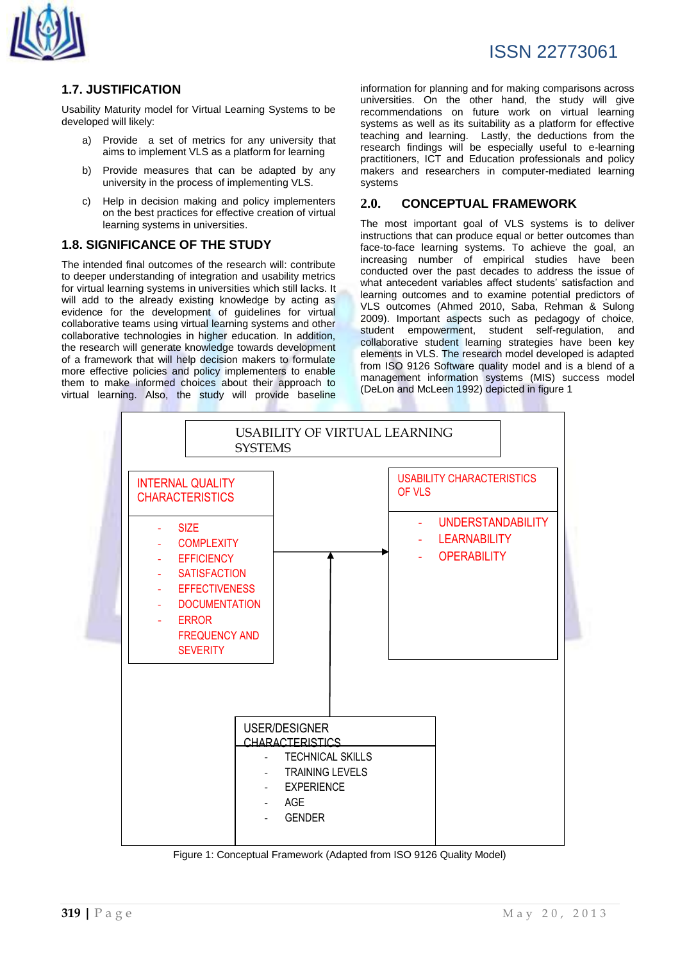

## **1.7. JUSTIFICATION**

Usability Maturity model for Virtual Learning Systems to be developed will likely:

- a) Provide a set of metrics for any university that aims to implement VLS as a platform for learning
- b) Provide measures that can be adapted by any university in the process of implementing VLS.
- c) Help in decision making and policy implementers on the best practices for effective creation of virtual learning systems in universities.

## **1.8. SIGNIFICANCE OF THE STUDY**

The intended final outcomes of the research will: contribute to deeper understanding of integration and usability metrics for virtual learning systems in universities which still lacks. It will add to the already existing knowledge by acting as evidence for the development of guidelines for virtual collaborative teams using virtual learning systems and other collaborative technologies in higher education. In addition, the research will generate knowledge towards development of a framework that will help decision makers to formulate more effective policies and policy implementers to enable them to make informed choices about their approach to virtual learning. Also, the study will provide baseline information for planning and for making comparisons across universities. On the other hand, the study will give recommendations on future work on virtual learning systems as well as its suitability as a platform for effective teaching and learning. Lastly, the deductions from the research findings will be especially useful to e-learning practitioners, ICT and Education professionals and policy makers and researchers in computer-mediated learning systems

## **2.0. CONCEPTUAL FRAMEWORK**

The most important goal of VLS systems is to deliver instructions that can produce equal or better outcomes than face-to-face learning systems. To achieve the goal, an increasing number of empirical studies have been conducted over the past decades to address the issue of what antecedent variables affect students' satisfaction and learning outcomes and to examine potential predictors of VLS outcomes (Ahmed 2010, Saba, Rehman & Sulong 2009). Important aspects such as pedagogy of choice, student empowerment, student self-regulation, and collaborative student learning strategies have been key elements in VLS. The research model developed is adapted from ISO 9126 Software quality model and is a blend of a management information systems (MIS) success model (DeLon and McLeen 1992) depicted in figure 1



Figure 1: Conceptual Framework (Adapted from ISO 9126 Quality Model)